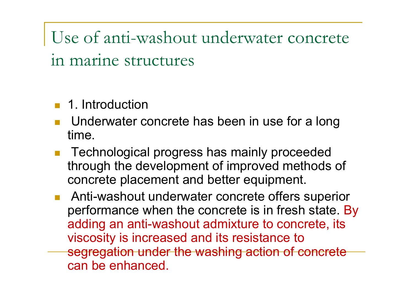Use of anti-washout underwater concrete in marine structures

- **1.** 1. Introduction
- Underwater concrete has been in use for a long time.
- Technological progress has mainly proceeded through the development of improved methods of concrete placement and better equipment.
- Anti-washout underwater concrete offers superior performance when the concrete is in fresh state. By adding an anti-washout admixture to concrete, its viscosity is increased and its resistance to segregation under the washing action of concrete can be enhanced.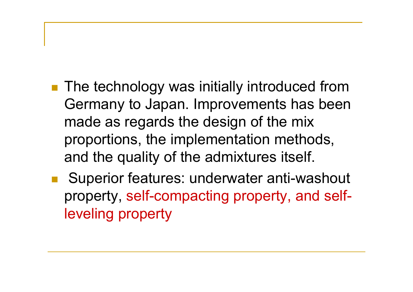- **The technology was initially introduced from** Germany to Japan. Improvements has been made as regards the design of the mix proportions, the implementation methods, and the quality of the admixtures itself.
- Superior features: underwater anti-washout property, self-compacting property, and selfleveling property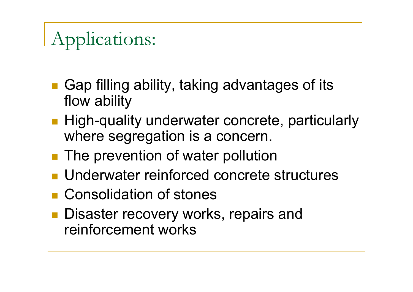# Applications:

- Gap filling ability, taking advantages of its flow ability
- **High-quality underwater concrete, particularly** where segregation is a concern.
- **The prevention of water pollution**
- **Underwater reinforced concrete structures**
- **Consolidation of stones**
- **Disaster recovery works, repairs and** reinforcement works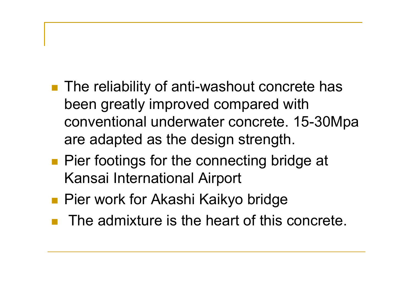- The reliability of anti-washout concrete has been greatly improved compared with conventional underwater concrete. 15-30Mpa are adapted as the design strength.
- **Pier footings for the connecting bridge at** Kansai International Airport
- **Pier work for Akashi Kaikyo bridge**
- The admixture is the heart of this concrete.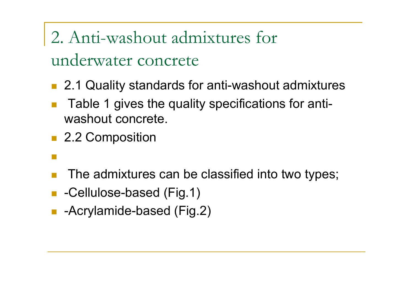## 2. Anti-washout admixtures for underwater concrete

- 2.1 Quality standards for anti-washout admixtures
- Table 1 gives the quality specifications for antiwashout concrete.
- 2.2 Composition
- $\mathbb{R}^3$
- The admixtures can be classified into two types;
- -Cellulose-based (Fig.1)
- -Acrylamide-based (Fig.2)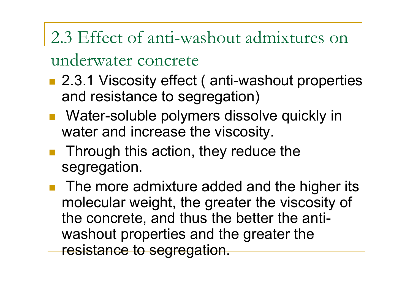## 2.3 Effect of anti-washout admixtures on

#### underwater concrete

- 2.3.1 Viscosity effect (anti-washout properties and resistance to segregation)
- **Nater-soluble polymers dissolve quickly in** water and increase the viscosity.
- $\blacksquare$  Through this action, they reduce the segregation.
- The more admixture added and the higher its molecular weight, the greater the viscosity of the concrete, and thus the better the antiwashout properties and the greater the resistance to segregation.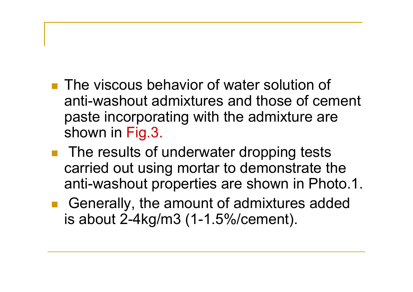- **The viscous behavior of water solution of** anti-washout admixtures and those of cement paste incorporating with the admixture are shown in Fig.3.
- The results of underwater dropping tests carried out using mortar to demonstrate the anti-washout properties are shown in Photo.1.
- Generally, the amount of admixtures added is about 2-4kg/m3 (1-1.5%/cement).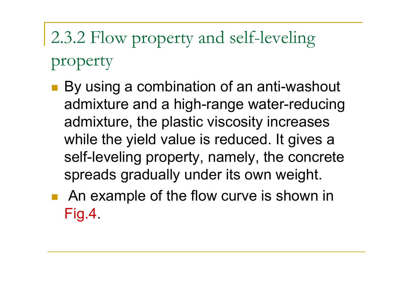# 2.3.2 Flow property and self-leveling property

- By using a combination of an anti-washout admixture and a high-range water-reducing admixture, the plastic viscosity increases while the yield value is reduced. It gives a self-leveling property, namely, the concrete spreads gradually under its own weight.
- **An example of the flow curve is shown in** Fig.4.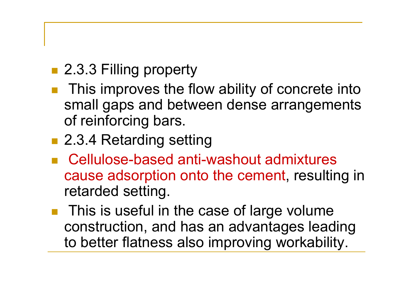- 2.3.3 Filling property
- This improves the flow ability of concrete into small gaps and between dense arrangements of reinforcing bars.
- 2.3.4 Retarding setting
- Cellulose-based anti-washout admixtures cause adsorption onto the cement, resulting in retarded setting.
- $\blacksquare$  This is useful in the case of large volume construction, and has an advantages leading to better flatness also improving workability.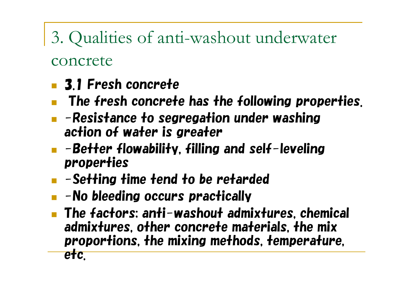### 3. Qualities of anti-washout underwater

#### concrete

- 3.1 Fresh concrete
- The fresh concrete has the following properties.
- $\blacksquare$  -Resistance to segregation under washing action of water is greater
- $\blacksquare$  -Better flowability, filling and self-leveling properties
- $\blacksquare$  -Setting time tend to be retarded
- $\blacksquare$  -No bleeding occurs practically
- The factors: anti-washout admixtures, chemical admixtures, other concrete materials, the mix proportions, the mixing methods, temperature,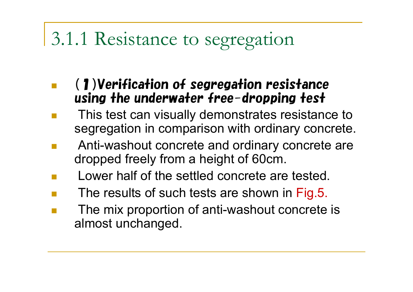### 3.1.1 Resistance to segregation

- (1)Verification of segregation resistance using the underwater free-dropping test
- This test can visually demonstrates resistance to segregation in comparison with ordinary concrete.
- Anti-washout concrete and ordinary concrete are dropped freely from a height of 60cm.
- Lower half of the settled concrete are tested.
- The results of such tests are shown in Fig.5.
- The mix proportion of anti-washout concrete is almost unchanged.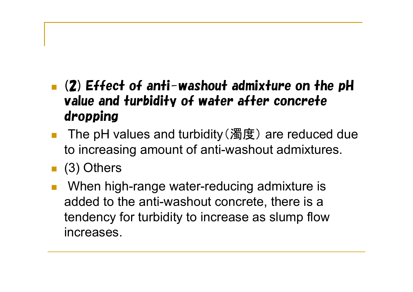#### $\blacksquare$  (2) Effect of anti-washout admixture on the pH value and turbidity of water after concrete dropping

- The pH values and turbidity (濁度) are reduced due to increasing amount of anti-washout admixtures.
- (3) Others
- When high-range water-reducing admixture is added to the anti-washout concrete, there is a tendency for turbidity to increase as slump flow increases.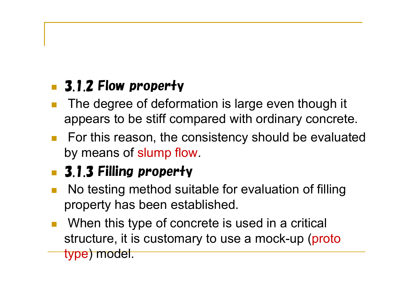#### **3.1.2 Flow property**

- The degree of deformation is large even though it appears to be stiff compared with ordinary concrete.
- **For this reason, the consistency should be evaluated** by means of slump flow.

#### **3.1.3 Filling property**

- No testing method suitable for evaluation of filling property has been established.
- When this type of concrete is used in a critical structure, it is customary to use a mock-up (proto type) model.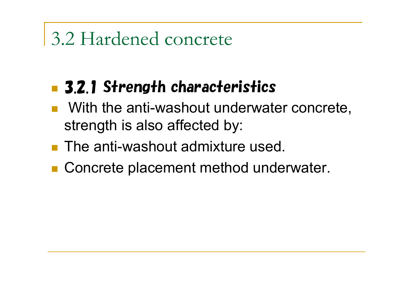### 3.2 Hardened concrete

#### **B** 3.2.1 Strength characteristics

- With the anti-washout underwater concrete, strength is also affected by:
- **The anti-washout admixture used.**
- Concrete placement method underwater.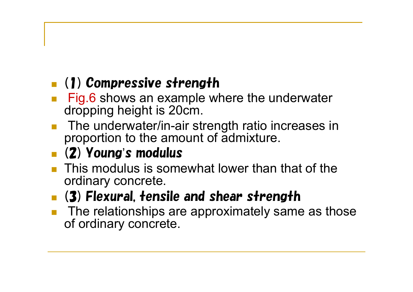#### (1) Compressive strength

- Fig.6 shows an example where the underwater dropping height is 20cm.
- The underwater/in-air strength ratio increases in proportion to the amount of admixture.

#### (2) Young's modulus

- **This modulus is somewhat lower than that of the** ordinary concrete.
- **(3) Flexural, tensile and shear strength**
- The relationships are approximately same as those of ordinary concrete.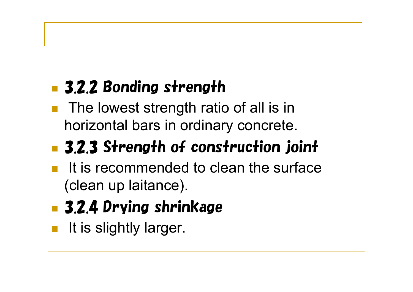### **3.2.2 Bonding strength**

■ The lowest strength ratio of all is in horizontal bars in ordinary concrete.

## **3.2.3 Strength of construction joint**

- It is recommended to clean the surface (clean up laitance).
- **B** 3.2.4 Drying shrinkage
- It is slightly larger.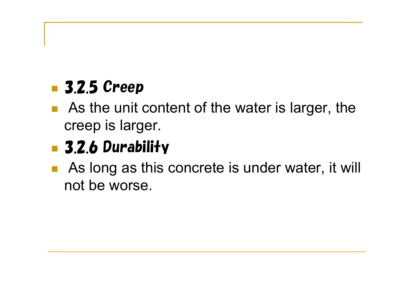#### **3.2.5 Creep**

■ As the unit content of the water is larger, the creep is larger.

### **3.2.6 Durability**

■ As long as this concrete is under water, it will not be worse.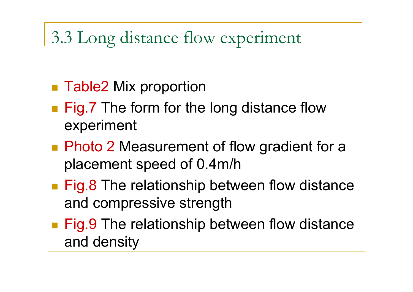#### 3.3 Long distance flow experiment

- Table2 Mix proportion
- **Fig.7** The form for the long distance flow experiment
- **Photo 2 Measurement of flow gradient for a** placement speed of 0.4m/h
- **Fig.8 The relationship between flow distance** and compressive strength
- **Fig.9 The relationship between flow distance** and density